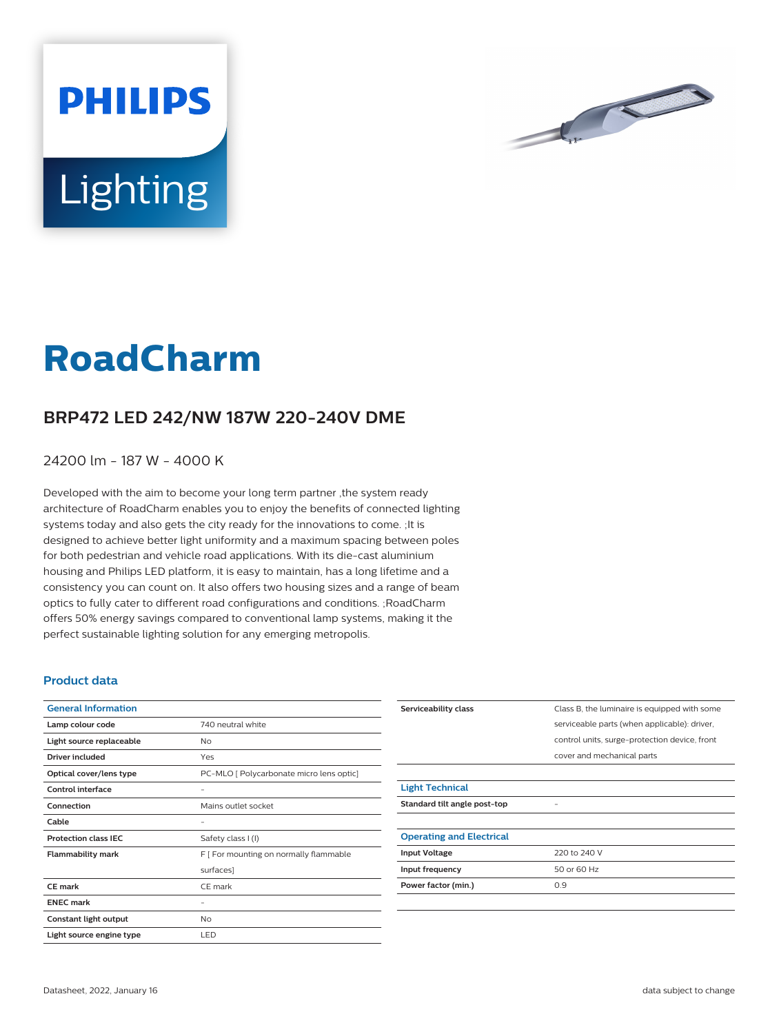



## **RoadCharm**

## **BRP472 LED 242/NW 187W 220-240V DME**

24200 lm - 187 W - 4000 K

Developed with the aim to become your long term partner ,the system ready architecture of RoadCharm enables you to enjoy the benefits of connected lighting systems today and also gets the city ready for the innovations to come. ;It is designed to achieve better light uniformity and a maximum spacing between poles for both pedestrian and vehicle road applications. With its die-cast aluminium housing and Philips LED platform, it is easy to maintain, has a long lifetime and a consistency you can count on. It also offers two housing sizes and a range of beam optics to fully cater to different road configurations and conditions. ;RoadCharm offers 50% energy savings compared to conventional lamp systems, making it the perfect sustainable lighting solution for any emerging metropolis.

## **Product data**

| <b>General Information</b>  |                                          |
|-----------------------------|------------------------------------------|
| Lamp colour code            | 740 neutral white                        |
| Light source replaceable    | No                                       |
| Driver included             | Yes                                      |
| Optical cover/lens type     | PC-MLO [ Polycarbonate micro lens optic] |
| Control interface           |                                          |
| Connection                  | Mains outlet socket                      |
| Cable                       |                                          |
| <b>Protection class IEC</b> | Safety class I (I)                       |
| <b>Flammability mark</b>    | F [ For mounting on normally flammable   |
|                             | surfaces]                                |
| CF mark                     | CE mark                                  |
| <b>ENEC mark</b>            |                                          |
| Constant light output       | No                                       |
| Light source engine type    | LED                                      |

| Serviceability class            | Class B, the luminaire is equipped with some  |
|---------------------------------|-----------------------------------------------|
|                                 | serviceable parts (when applicable): driver,  |
|                                 | control units, surge-protection device, front |
|                                 | cover and mechanical parts                    |
|                                 |                                               |
| <b>Light Technical</b>          |                                               |
| Standard tilt angle post-top    |                                               |
|                                 |                                               |
| <b>Operating and Electrical</b> |                                               |
| <b>Input Voltage</b>            | 220 to 240 V                                  |
| Input frequency                 | 50 or 60 Hz                                   |
| Power factor (min.)             | 0.9                                           |
|                                 |                                               |